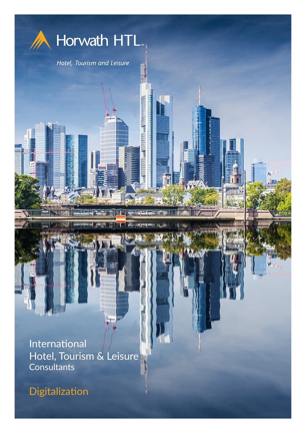

Digitalization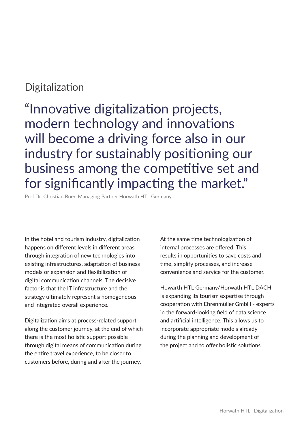## **Digitalization**

"Innovative digitalization projects, modern technology and innovations will become a driving force also in our industry for sustainably positioning our business among the competitive set and for significantly impacting the market."

Prof.Dr. Christian Buer, Managing Partner Horwath HTL Germany

In the hotel and tourism industry, digitalization happens on different levels in different areas through integration of new technologies into existing infrastructures, adaptation of business models or expansion and flexibilization of digital communication channels. The decisive factor is that the IT infrastructure and the strategy ultimately represent a homogeneous and integrated overall experience.

Digitalization aims at process-related support along the customer journey, at the end of which there is the most holistic support possible through digital means of communication during the entire travel experience, to be closer to customers before, during and after the journey.

At the same time technologization of internal processes are offered. This results in opportunities to save costs and time, simplify processes, and increase convenience and service for the customer.

Howarth HTL Germany/Horwath HTL DACH is expanding its tourism expertise through cooperation with Ehrenmüller GmbH - experts in the forward-looking field of data science and artificial intelligence. This allows us to incorporate appropriate models already during the planning and development of the project and to offer holistic solutions.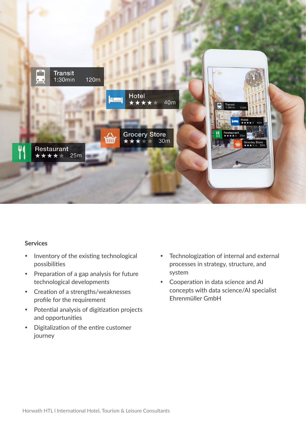

## **Services**

- Inventory of the existing technological possibilities
- Preparation of a gap analysis for future technological developments
- Creation of a strengths/weaknesses profile for the requirement
- Potential analysis of digitization projects and opportunities
- Digitalization of the entire customer journey
- Technologization of internal and external processes in strategy, structure, and system
- Cooperation in data science and AI concepts with data science/AI specialist Ehrenmüller GmbH